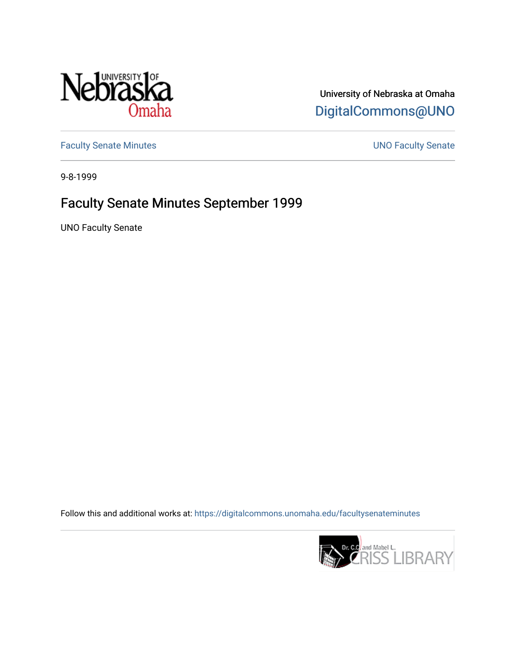

University of Nebraska at Omaha [DigitalCommons@UNO](https://digitalcommons.unomaha.edu/) 

[Faculty Senate Minutes](https://digitalcommons.unomaha.edu/facultysenateminutes) **Exercise Senate UNO Faculty Senate** 

9-8-1999

# Faculty Senate Minutes September 1999

UNO Faculty Senate

Follow this and additional works at: [https://digitalcommons.unomaha.edu/facultysenateminutes](https://digitalcommons.unomaha.edu/facultysenateminutes?utm_source=digitalcommons.unomaha.edu%2Ffacultysenateminutes%2F74&utm_medium=PDF&utm_campaign=PDFCoverPages) 

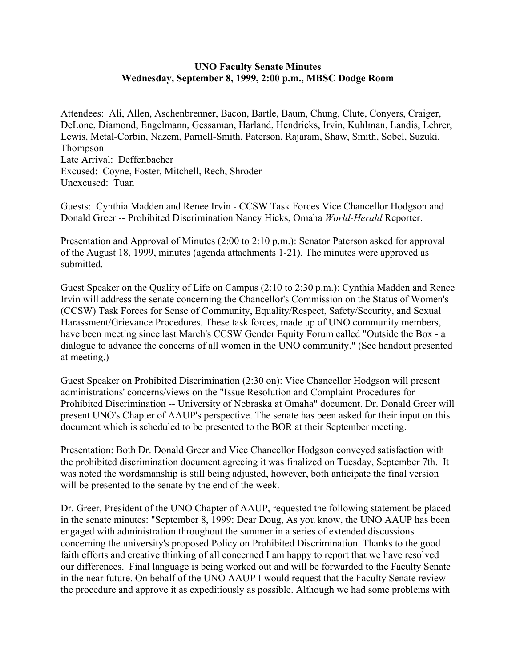### **UNO Faculty Senate Minutes Wednesday, September 8, 1999, 2:00 p.m., MBSC Dodge Room**

Attendees: Ali, Allen, Aschenbrenner, Bacon, Bartle, Baum, Chung, Clute, Conyers, Craiger, DeLone, Diamond, Engelmann, Gessaman, Harland, Hendricks, Irvin, Kuhlman, Landis, Lehrer, Lewis, Metal-Corbin, Nazem, Parnell-Smith, Paterson, Rajaram, Shaw, Smith, Sobel, Suzuki, Thompson Late Arrival: Deffenbacher Excused: Coyne, Foster, Mitchell, Rech, Shroder Unexcused: Tuan

Guests: Cynthia Madden and Renee Irvin - CCSW Task Forces Vice Chancellor Hodgson and Donald Greer -- Prohibited Discrimination Nancy Hicks, Omaha *World-Herald* Reporter.

Presentation and Approval of Minutes (2:00 to 2:10 p.m.): Senator Paterson asked for approval of the August 18, 1999, minutes (agenda attachments 1-21). The minutes were approved as submitted.

Guest Speaker on the Quality of Life on Campus (2:10 to 2:30 p.m.): Cynthia Madden and Renee Irvin will address the senate concerning the Chancellor's Commission on the Status of Women's (CCSW) Task Forces for Sense of Community, Equality/Respect, Safety/Security, and Sexual Harassment/Grievance Procedures. These task forces, made up of UNO community members, have been meeting since last March's CCSW Gender Equity Forum called "Outside the Box - a dialogue to advance the concerns of all women in the UNO community." (See handout presented at meeting.)

Guest Speaker on Prohibited Discrimination (2:30 on): Vice Chancellor Hodgson will present administrations' concerns/views on the "Issue Resolution and Complaint Procedures for Prohibited Discrimination -- University of Nebraska at Omaha" document. Dr. Donald Greer will present UNO's Chapter of AAUP's perspective. The senate has been asked for their input on this document which is scheduled to be presented to the BOR at their September meeting.

Presentation: Both Dr. Donald Greer and Vice Chancellor Hodgson conveyed satisfaction with the prohibited discrimination document agreeing it was finalized on Tuesday, September 7th. It was noted the wordsmanship is still being adjusted, however, both anticipate the final version will be presented to the senate by the end of the week.

Dr. Greer, President of the UNO Chapter of AAUP, requested the following statement be placed in the senate minutes: "September 8, 1999: Dear Doug, As you know, the UNO AAUP has been engaged with administration throughout the summer in a series of extended discussions concerning the university's proposed Policy on Prohibited Discrimination. Thanks to the good faith efforts and creative thinking of all concerned I am happy to report that we have resolved our differences. Final language is being worked out and will be forwarded to the Faculty Senate in the near future. On behalf of the UNO AAUP I would request that the Faculty Senate review the procedure and approve it as expeditiously as possible. Although we had some problems with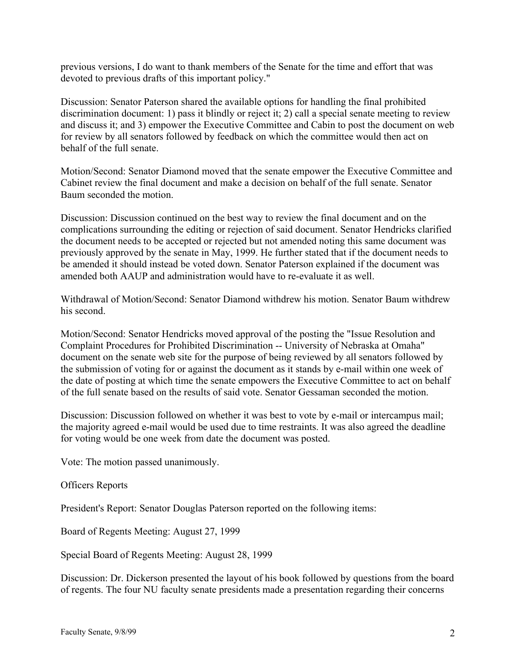previous versions, I do want to thank members of the Senate for the time and effort that was devoted to previous drafts of this important policy."

Discussion: Senator Paterson shared the available options for handling the final prohibited discrimination document: 1) pass it blindly or reject it; 2) call a special senate meeting to review and discuss it; and 3) empower the Executive Committee and Cabin to post the document on web for review by all senators followed by feedback on which the committee would then act on behalf of the full senate.

Motion/Second: Senator Diamond moved that the senate empower the Executive Committee and Cabinet review the final document and make a decision on behalf of the full senate. Senator Baum seconded the motion.

Discussion: Discussion continued on the best way to review the final document and on the complications surrounding the editing or rejection of said document. Senator Hendricks clarified the document needs to be accepted or rejected but not amended noting this same document was previously approved by the senate in May, 1999. He further stated that if the document needs to be amended it should instead be voted down. Senator Paterson explained if the document was amended both AAUP and administration would have to re-evaluate it as well.

Withdrawal of Motion/Second: Senator Diamond withdrew his motion. Senator Baum withdrew his second.

Motion/Second: Senator Hendricks moved approval of the posting the "Issue Resolution and Complaint Procedures for Prohibited Discrimination -- University of Nebraska at Omaha" document on the senate web site for the purpose of being reviewed by all senators followed by the submission of voting for or against the document as it stands by e-mail within one week of the date of posting at which time the senate empowers the Executive Committee to act on behalf of the full senate based on the results of said vote. Senator Gessaman seconded the motion.

Discussion: Discussion followed on whether it was best to vote by e-mail or intercampus mail; the majority agreed e-mail would be used due to time restraints. It was also agreed the deadline for voting would be one week from date the document was posted.

Vote: The motion passed unanimously.

# Officers Reports

President's Report: Senator Douglas Paterson reported on the following items:

Board of Regents Meeting: August 27, 1999

Special Board of Regents Meeting: August 28, 1999

Discussion: Dr. Dickerson presented the layout of his book followed by questions from the board of regents. The four NU faculty senate presidents made a presentation regarding their concerns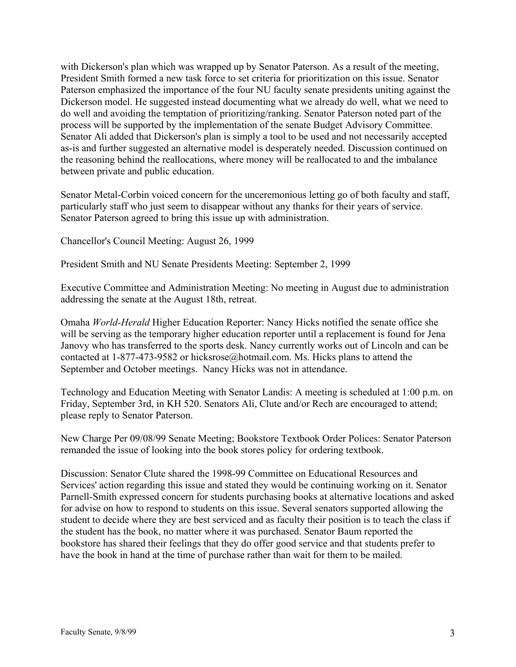with Dickerson's plan which was wrapped up by Senator Paterson. As a result of the meeting, President Smith formed a new task force to set criteria for prioritization on this issue. Senator Paterson emphasized the importance of the four NU faculty senate presidents uniting against the Dickerson model. He suggested instead documenting what we already do well, what we need to do well and avoiding the temptation of prioritizing/ranking. Senator Paterson noted part of the process will be supported by the implementation of the senate Budget Advisory Committee. Senator Ali added that Dickerson's plan is simply a tool to be used and not necessarily accepted as-is and further suggested an alternative model is desperately needed. Discussion continued on the reasoning behind the reallocations, where money will be reallocated to and the imbalance between private and public education.

Senator Metal-Corbin voiced concern for the unceremonious letting go of both faculty and staff, particularly staff who just seem to disappear without any thanks for their years of service. Senator Paterson agreed to bring this issue up with administration.

Chancellor's Council Meeting: August 26, 1999

President Smith and NU Senate Presidents Meeting: September 2, 1999

Executive Committee and Administration Meeting: No meeting in August due to administration addressing the senate at the August 18th, retreat.

Omaha *World-Herald* Higher Education Reporter: Nancy Hicks notified the senate office she will be serving as the temporary higher education reporter until a replacement is found for Jena Janovy who has transferred to the sports desk. Nancy currently works out of Lincoln and can be contacted at 1-877-473-9582 or hicksrose@hotmail.com. Ms. Hicks plans to attend the September and October meetings. Nancy Hicks was not in attendance.

Technology and Education Meeting with Senator Landis: A meeting is scheduled at 1:00 p.m. on Friday, September 3rd, in KH 520. Senators Ali, Clute and/or Rech are encouraged to attend; please reply to Senator Paterson.

New Charge Per 09/08/99 Senate Meeting; Bookstore Textbook Order Polices: Senator Paterson remanded the issue of looking into the book stores policy for ordering textbook.

Discussion: Senator Clute shared the 1998-99 Committee on Educational Resources and Services' action regarding this issue and stated they would be continuing working on it. Senator Parnell-Smith expressed concern for students purchasing books at alternative locations and asked for advise on how to respond to students on this issue. Several senators supported allowing the student to decide where they are best serviced and as faculty their position is to teach the class if the student has the book, no matter where it was purchased. Senator Baum reported the bookstore has shared their feelings that they do offer good service and that students prefer to have the book in hand at the time of purchase rather than wait for them to be mailed.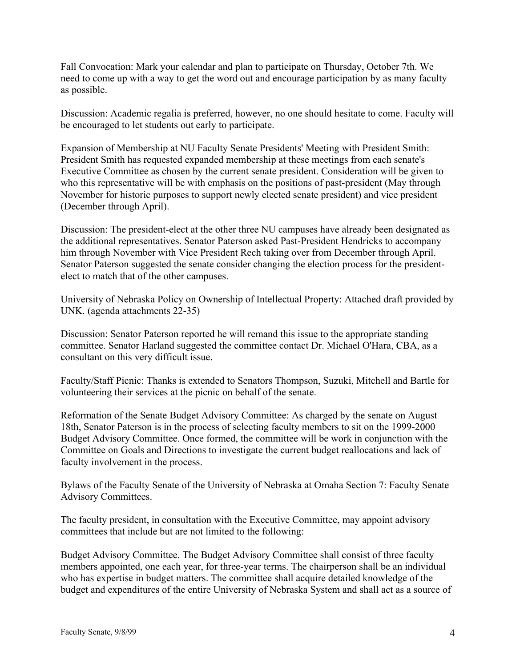Fall Convocation: Mark your calendar and plan to participate on Thursday, October 7th. We need to come up with a way to get the word out and encourage participation by as many faculty as possible.

Discussion: Academic regalia is preferred, however, no one should hesitate to come. Faculty will be encouraged to let students out early to participate.

Expansion of Membership at NU Faculty Senate Presidents' Meeting with President Smith: President Smith has requested expanded membership at these meetings from each senate's Executive Committee as chosen by the current senate president. Consideration will be given to who this representative will be with emphasis on the positions of past-president (May through November for historic purposes to support newly elected senate president) and vice president (December through April).

Discussion: The president-elect at the other three NU campuses have already been designated as the additional representatives. Senator Paterson asked Past-President Hendricks to accompany him through November with Vice President Rech taking over from December through April. Senator Paterson suggested the senate consider changing the election process for the presidentelect to match that of the other campuses.

University of Nebraska Policy on Ownership of Intellectual Property: Attached draft provided by UNK. (agenda attachments 22-35)

Discussion: Senator Paterson reported he will remand this issue to the appropriate standing committee. Senator Harland suggested the committee contact Dr. Michael O'Hara, CBA, as a consultant on this very difficult issue.

Faculty/Staff Picnic: Thanks is extended to Senators Thompson, Suzuki, Mitchell and Bartle for volunteering their services at the picnic on behalf of the senate.

Reformation of the Senate Budget Advisory Committee: As charged by the senate on August 18th, Senator Paterson is in the process of selecting faculty members to sit on the 1999-2000 Budget Advisory Committee. Once formed, the committee will be work in conjunction with the Committee on Goals and Directions to investigate the current budget reallocations and lack of faculty involvement in the process.

Bylaws of the Faculty Senate of the University of Nebraska at Omaha Section 7: Faculty Senate Advisory Committees.

The faculty president, in consultation with the Executive Committee, may appoint advisory committees that include but are not limited to the following:

Budget Advisory Committee. The Budget Advisory Committee shall consist of three faculty members appointed, one each year, for three-year terms. The chairperson shall be an individual who has expertise in budget matters. The committee shall acquire detailed knowledge of the budget and expenditures of the entire University of Nebraska System and shall act as a source of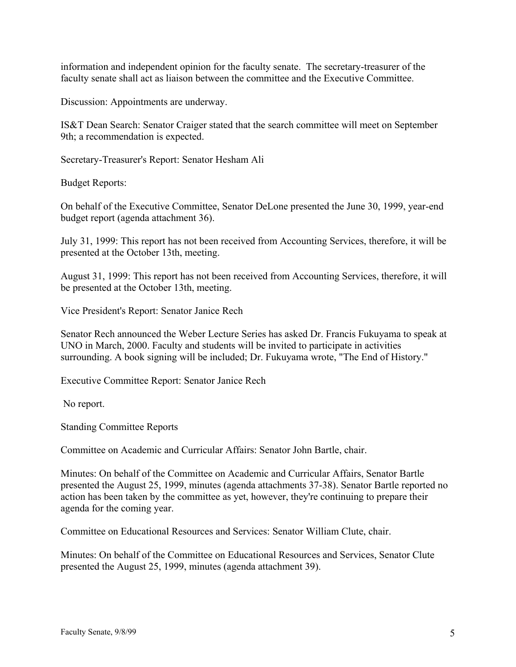information and independent opinion for the faculty senate. The secretary-treasurer of the faculty senate shall act as liaison between the committee and the Executive Committee.

Discussion: Appointments are underway.

IS&T Dean Search: Senator Craiger stated that the search committee will meet on September 9th; a recommendation is expected.

Secretary-Treasurer's Report: Senator Hesham Ali

Budget Reports:

On behalf of the Executive Committee, Senator DeLone presented the June 30, 1999, year-end budget report (agenda attachment 36).

July 31, 1999: This report has not been received from Accounting Services, therefore, it will be presented at the October 13th, meeting.

August 31, 1999: This report has not been received from Accounting Services, therefore, it will be presented at the October 13th, meeting.

Vice President's Report: Senator Janice Rech

Senator Rech announced the Weber Lecture Series has asked Dr. Francis Fukuyama to speak at UNO in March, 2000. Faculty and students will be invited to participate in activities surrounding. A book signing will be included; Dr. Fukuyama wrote, "The End of History."

Executive Committee Report: Senator Janice Rech

No report.

Standing Committee Reports

Committee on Academic and Curricular Affairs: Senator John Bartle, chair.

Minutes: On behalf of the Committee on Academic and Curricular Affairs, Senator Bartle presented the August 25, 1999, minutes (agenda attachments 37-38). Senator Bartle reported no action has been taken by the committee as yet, however, they're continuing to prepare their agenda for the coming year.

Committee on Educational Resources and Services: Senator William Clute, chair.

Minutes: On behalf of the Committee on Educational Resources and Services, Senator Clute presented the August 25, 1999, minutes (agenda attachment 39).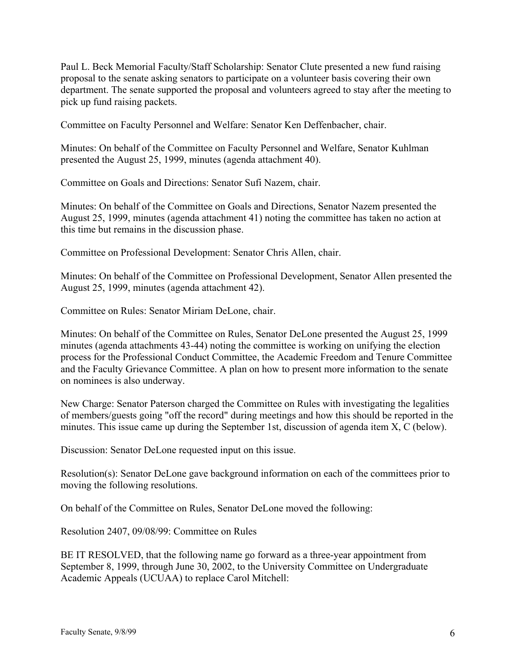Paul L. Beck Memorial Faculty/Staff Scholarship: Senator Clute presented a new fund raising proposal to the senate asking senators to participate on a volunteer basis covering their own department. The senate supported the proposal and volunteers agreed to stay after the meeting to pick up fund raising packets.

Committee on Faculty Personnel and Welfare: Senator Ken Deffenbacher, chair.

Minutes: On behalf of the Committee on Faculty Personnel and Welfare, Senator Kuhlman presented the August 25, 1999, minutes (agenda attachment 40).

Committee on Goals and Directions: Senator Sufi Nazem, chair.

Minutes: On behalf of the Committee on Goals and Directions, Senator Nazem presented the August 25, 1999, minutes (agenda attachment 41) noting the committee has taken no action at this time but remains in the discussion phase.

Committee on Professional Development: Senator Chris Allen, chair.

Minutes: On behalf of the Committee on Professional Development, Senator Allen presented the August 25, 1999, minutes (agenda attachment 42).

Committee on Rules: Senator Miriam DeLone, chair.

Minutes: On behalf of the Committee on Rules, Senator DeLone presented the August 25, 1999 minutes (agenda attachments 43-44) noting the committee is working on unifying the election process for the Professional Conduct Committee, the Academic Freedom and Tenure Committee and the Faculty Grievance Committee. A plan on how to present more information to the senate on nominees is also underway.

New Charge: Senator Paterson charged the Committee on Rules with investigating the legalities of members/guests going "off the record" during meetings and how this should be reported in the minutes. This issue came up during the September 1st, discussion of agenda item X, C (below).

Discussion: Senator DeLone requested input on this issue.

Resolution(s): Senator DeLone gave background information on each of the committees prior to moving the following resolutions.

On behalf of the Committee on Rules, Senator DeLone moved the following:

Resolution 2407, 09/08/99: Committee on Rules

BE IT RESOLVED, that the following name go forward as a three-year appointment from September 8, 1999, through June 30, 2002, to the University Committee on Undergraduate Academic Appeals (UCUAA) to replace Carol Mitchell: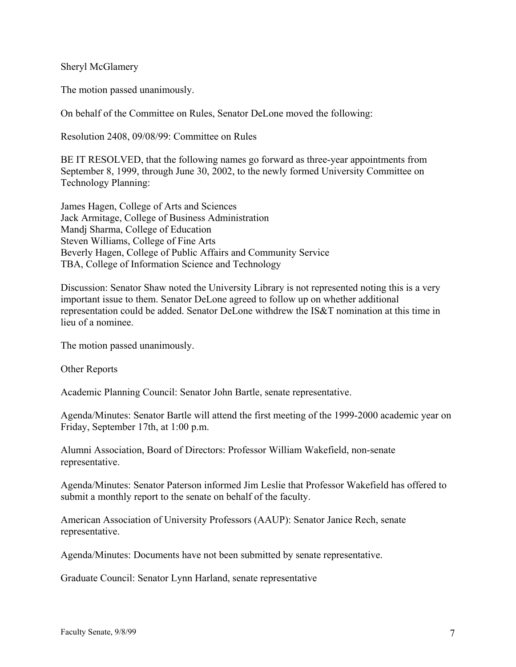Sheryl McGlamery

The motion passed unanimously.

On behalf of the Committee on Rules, Senator DeLone moved the following:

Resolution 2408, 09/08/99: Committee on Rules

BE IT RESOLVED, that the following names go forward as three-year appointments from September 8, 1999, through June 30, 2002, to the newly formed University Committee on Technology Planning:

James Hagen, College of Arts and Sciences Jack Armitage, College of Business Administration Mandj Sharma, College of Education Steven Williams, College of Fine Arts Beverly Hagen, College of Public Affairs and Community Service TBA, College of Information Science and Technology

Discussion: Senator Shaw noted the University Library is not represented noting this is a very important issue to them. Senator DeLone agreed to follow up on whether additional representation could be added. Senator DeLone withdrew the IS&T nomination at this time in lieu of a nominee.

The motion passed unanimously.

Other Reports

Academic Planning Council: Senator John Bartle, senate representative.

Agenda/Minutes: Senator Bartle will attend the first meeting of the 1999-2000 academic year on Friday, September 17th, at 1:00 p.m.

Alumni Association, Board of Directors: Professor William Wakefield, non-senate representative.

Agenda/Minutes: Senator Paterson informed Jim Leslie that Professor Wakefield has offered to submit a monthly report to the senate on behalf of the faculty.

American Association of University Professors (AAUP): Senator Janice Rech, senate representative.

Agenda/Minutes: Documents have not been submitted by senate representative.

Graduate Council: Senator Lynn Harland, senate representative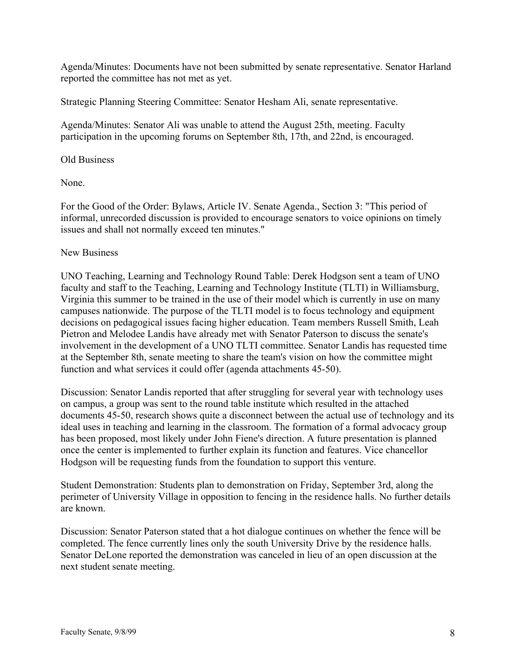Agenda/Minutes: Documents have not been submitted by senate representative. Senator Harland reported the committee has not met as yet.

Strategic Planning Steering Committee: Senator Hesham Ali, senate representative.

Agenda/Minutes: Senator Ali was unable to attend the August 25th, meeting. Faculty participation in the upcoming forums on September 8th, 17th, and 22nd, is encouraged.

# Old Business

None.

For the Good of the Order: Bylaws, Article IV. Senate Agenda., Section 3: "This period of informal, unrecorded discussion is provided to encourage senators to voice opinions on timely issues and shall not normally exceed ten minutes."

#### New Business

UNO Teaching, Learning and Technology Round Table: Derek Hodgson sent a team of UNO faculty and staff to the Teaching, Learning and Technology Institute (TLTI) in Williamsburg, Virginia this summer to be trained in the use of their model which is currently in use on many campuses nationwide. The purpose of the TLTI model is to focus technology and equipment decisions on pedagogical issues facing higher education. Team members Russell Smith, Leah Pietron and Melodee Landis have already met with Senator Paterson to discuss the senate's involvement in the development of a UNO TLTI committee. Senator Landis has requested time at the September 8th, senate meeting to share the team's vision on how the committee might function and what services it could offer (agenda attachments 45-50).

Discussion: Senator Landis reported that after struggling for several year with technology uses on campus, a group was sent to the round table institute which resulted in the attached documents 45-50, research shows quite a disconnect between the actual use of technology and its ideal uses in teaching and learning in the classroom. The formation of a formal advocacy group has been proposed, most likely under John Fiene's direction. A future presentation is planned once the center is implemented to further explain its function and features. Vice chancellor Hodgson will be requesting funds from the foundation to support this venture.

Student Demonstration: Students plan to demonstration on Friday, September 3rd, along the perimeter of University Village in opposition to fencing in the residence halls. No further details are known.

Discussion: Senator Paterson stated that a hot dialogue continues on whether the fence will be completed. The fence currently lines only the south University Drive by the residence halls. Senator DeLone reported the demonstration was canceled in lieu of an open discussion at the next student senate meeting.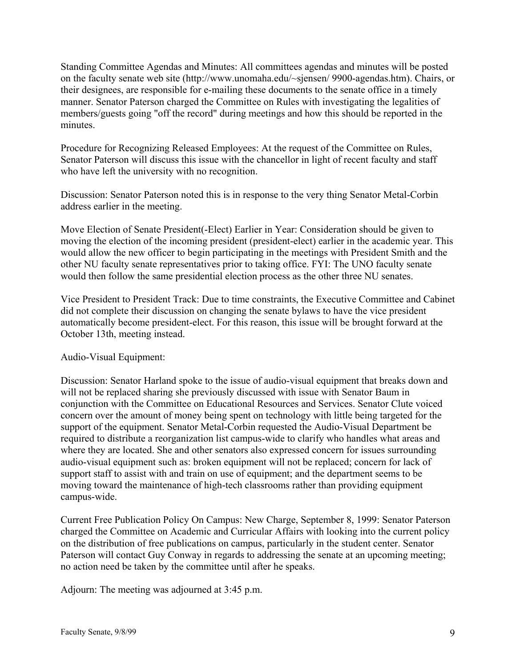Standing Committee Agendas and Minutes: All committees agendas and minutes will be posted on the faculty senate web site (http://www.unomaha.edu/~sjensen/ 9900-agendas.htm). Chairs, or their designees, are responsible for e-mailing these documents to the senate office in a timely manner. Senator Paterson charged the Committee on Rules with investigating the legalities of members/guests going "off the record" during meetings and how this should be reported in the minutes.

Procedure for Recognizing Released Employees: At the request of the Committee on Rules, Senator Paterson will discuss this issue with the chancellor in light of recent faculty and staff who have left the university with no recognition.

Discussion: Senator Paterson noted this is in response to the very thing Senator Metal-Corbin address earlier in the meeting.

Move Election of Senate President(-Elect) Earlier in Year: Consideration should be given to moving the election of the incoming president (president-elect) earlier in the academic year. This would allow the new officer to begin participating in the meetings with President Smith and the other NU faculty senate representatives prior to taking office. FYI: The UNO faculty senate would then follow the same presidential election process as the other three NU senates.

Vice President to President Track: Due to time constraints, the Executive Committee and Cabinet did not complete their discussion on changing the senate bylaws to have the vice president automatically become president-elect. For this reason, this issue will be brought forward at the October 13th, meeting instead.

# Audio-Visual Equipment:

Discussion: Senator Harland spoke to the issue of audio-visual equipment that breaks down and will not be replaced sharing she previously discussed with issue with Senator Baum in conjunction with the Committee on Educational Resources and Services. Senator Clute voiced concern over the amount of money being spent on technology with little being targeted for the support of the equipment. Senator Metal-Corbin requested the Audio-Visual Department be required to distribute a reorganization list campus-wide to clarify who handles what areas and where they are located. She and other senators also expressed concern for issues surrounding audio-visual equipment such as: broken equipment will not be replaced; concern for lack of support staff to assist with and train on use of equipment; and the department seems to be moving toward the maintenance of high-tech classrooms rather than providing equipment campus-wide.

Current Free Publication Policy On Campus: New Charge, September 8, 1999: Senator Paterson charged the Committee on Academic and Curricular Affairs with looking into the current policy on the distribution of free publications on campus, particularly in the student center. Senator Paterson will contact Guy Conway in regards to addressing the senate at an upcoming meeting; no action need be taken by the committee until after he speaks.

Adjourn: The meeting was adjourned at 3:45 p.m.